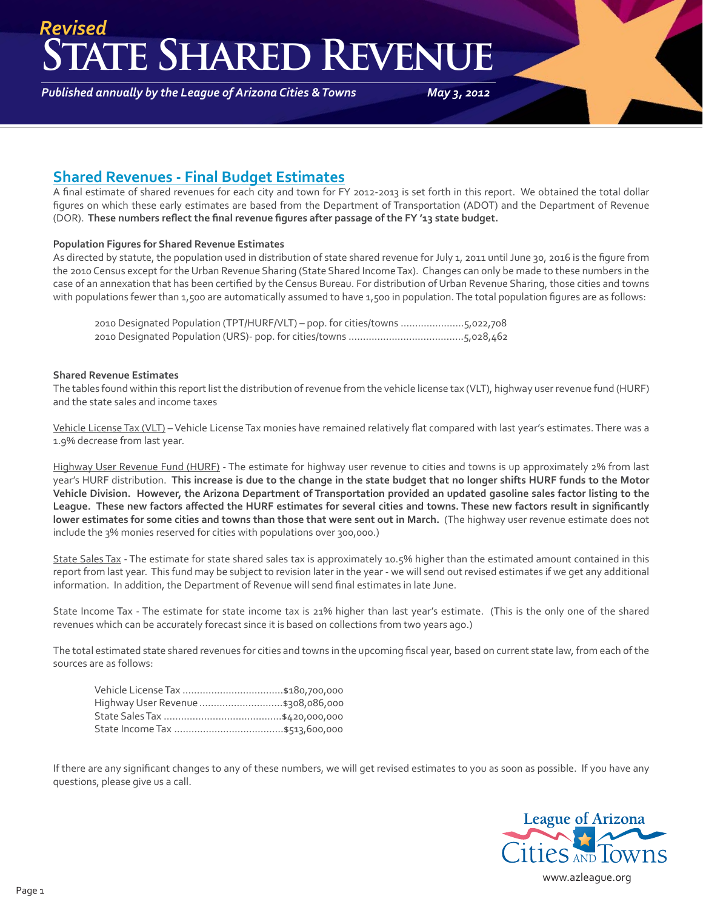### **TE SHARED REVENUE** *Revised*

*Published annually by the League of Arizona Cities & Towns*

*May 3, 2012*

### **Shared Revenues - Final Budget Estimates**

A final estimate of shared revenues for each city and town for FY 2012-2013 is set forth in this report. We obtained the total dollar fiqures on which these early estimates are based from the Department of Transportation (ADOT) and the Department of Revenue (DOR). These numbers reflect the final revenue figures after passage of the FY '13 state budget.

#### **Population Figures for Shared Revenue Estimates**

As directed by statute, the population used in distribution of state shared revenue for July 1, 2011 until June 30, 2016 is the figure from the 2010 Census except for the Urban Revenue Sharing (State Shared Income Tax). Changes can only be made to these numbers in the case of an annexation that has been certified by the Census Bureau. For distribution of Urban Revenue Sharing, those cities and towns with populations fewer than 1,500 are automatically assumed to have 1,500 in population. The total population figures are as follows:

 2010 Designated Population (TPT/HURF/VLT) – pop. for cities/towns ......................5,022,708 2010 Designated Population (URS)- pop. for cities/towns ........................................5,028,462

#### **Shared Revenue Estimates**

The tables found within this report list the distribution of revenue from the vehicle license tax (VLT), highway user revenue fund (HURF) and the state sales and income taxes

Vehicle License Tax (VLT) – Vehicle License Tax monies have remained relatively flat compared with last year's estimates. There was a 1.9% decrease from last year.

Highway User Revenue Fund (HURF) - The estimate for highway user revenue to cities and towns is up approximately 2% from last year's HURF distribution. **This increase is due to the change in the state budget that no longer shifts HURF funds to the Motor Vehicle Division. However, the Arizona Department of Transportation provided an updated gasoline sales factor listing to the**  League. These new factors affected the HURF estimates for several cities and towns. These new factors result in significantly **lower estimates for some cities and towns than those that were sent out in March.** (The highway user revenue estimate does not include the 3% monies reserved for cities with populations over 300,000.)

State Sales Tax - The estimate for state shared sales tax is approximately 10.5% higher than the estimated amount contained in this report from last year. This fund may be subject to revision later in the year - we will send out revised estimates if we get any additional information. In addition, the Department of Revenue will send final estimates in late June.

State Income Tax - The estimate for state income tax is 21% higher than last year's estimate. (This is the only one of the shared revenues which can be accurately forecast since it is based on collections from two years ago.)

The total estimated state shared revenues for cities and towns in the upcoming fiscal year, based on current state law, from each of the sources are as follows:

| Highway User Revenue \$308,086,000 |
|------------------------------------|
|                                    |
|                                    |

If there are any significant changes to any of these numbers, we will get revised estimates to you as soon as possible. If you have any questions, please give us a call.

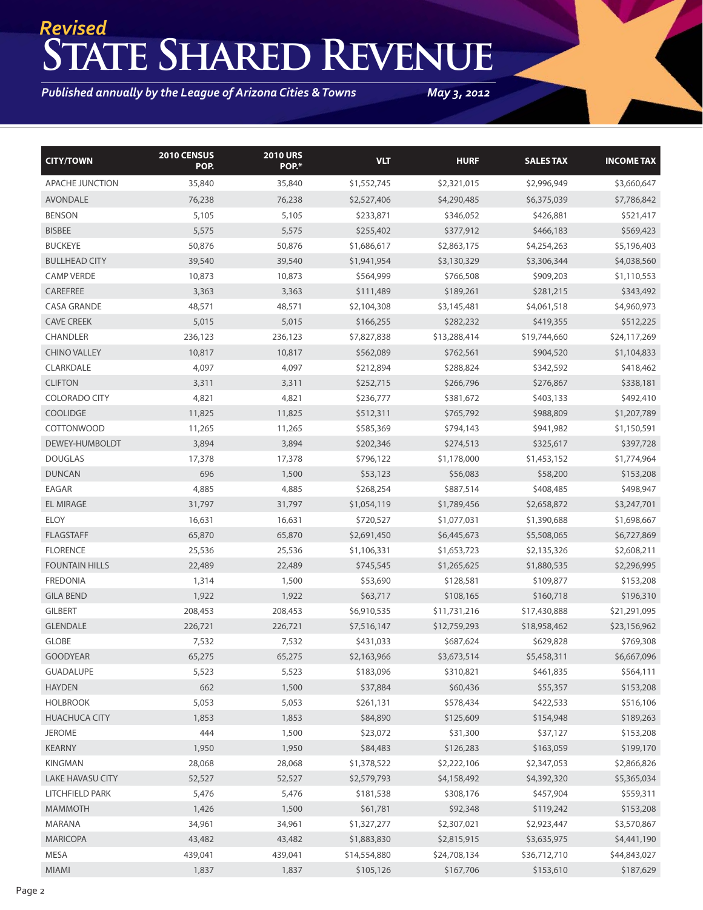## **ATE SHARED REVENUE** *Revised*

*Published annually by the League of Arizona Cities & Towns*

*May 3, 2012*

| <b>CITY/TOWN</b>       | 2010 CENSUS<br>POP. | <b>2010 URS</b><br>POP.* | <b>VLT</b>   | <b>HURF</b>  | <b>SALESTAX</b> | <b>INCOME TAX</b> |
|------------------------|---------------------|--------------------------|--------------|--------------|-----------------|-------------------|
| APACHE JUNCTION        | 35,840              | 35,840                   | \$1,552,745  | \$2,321,015  | \$2,996,949     | \$3,660,647       |
| <b>AVONDALE</b>        | 76,238              | 76,238                   | \$2,527,406  | \$4,290,485  | \$6,375,039     | \$7,786,842       |
| <b>BENSON</b>          | 5,105               | 5,105                    | \$233,871    | \$346,052    | \$426,881       | \$521,417         |
| <b>BISBEE</b>          | 5,575               | 5,575                    | \$255,402    | \$377,912    | \$466,183       | \$569,423         |
| <b>BUCKEYE</b>         | 50,876              | 50,876                   | \$1,686,617  | \$2,863,175  | \$4,254,263     | \$5,196,403       |
| <b>BULLHEAD CITY</b>   | 39,540              | 39,540                   | \$1,941,954  | \$3,130,329  | \$3,306,344     | \$4,038,560       |
| <b>CAMP VERDE</b>      | 10,873              | 10,873                   | \$564,999    | \$766,508    | \$909,203       | \$1,110,553       |
| CAREFREE               | 3,363               | 3,363                    | \$111,489    | \$189,261    | \$281,215       | \$343,492         |
| <b>CASA GRANDE</b>     | 48,571              | 48,571                   | \$2,104,308  | \$3,145,481  | \$4,061,518     | \$4,960,973       |
| <b>CAVE CREEK</b>      | 5,015               | 5,015                    | \$166,255    | \$282,232    | \$419,355       | \$512,225         |
| <b>CHANDLER</b>        | 236,123             | 236,123                  | \$7,827,838  | \$13,288,414 | \$19,744,660    | \$24,117,269      |
| <b>CHINO VALLEY</b>    | 10,817              | 10,817                   | \$562,089    | \$762,561    | \$904,520       | \$1,104,833       |
| CLARKDALE              | 4,097               | 4,097                    | \$212,894    | \$288,824    | \$342,592       | \$418,462         |
| <b>CLIFTON</b>         | 3,311               | 3,311                    | \$252,715    | \$266,796    | \$276,867       | \$338,181         |
| <b>COLORADO CITY</b>   | 4,821               | 4,821                    | \$236,777    | \$381,672    | \$403,133       | \$492,410         |
| <b>COOLIDGE</b>        | 11,825              | 11,825                   | \$512,311    | \$765,792    | \$988,809       | \$1,207,789       |
| <b>COTTONWOOD</b>      | 11,265              | 11,265                   | \$585,369    | \$794,143    | \$941,982       | \$1,150,591       |
| DEWEY-HUMBOLDT         | 3,894               | 3,894                    | \$202,346    | \$274,513    | \$325,617       | \$397,728         |
| <b>DOUGLAS</b>         | 17,378              | 17,378                   | \$796,122    | \$1,178,000  | \$1,453,152     | \$1,774,964       |
| <b>DUNCAN</b>          | 696                 | 1,500                    | \$53,123     | \$56,083     | \$58,200        | \$153,208         |
| EAGAR                  | 4,885               | 4,885                    | \$268,254    | \$887,514    | \$408,485       | \$498,947         |
| <b>EL MIRAGE</b>       | 31,797              | 31,797                   | \$1,054,119  | \$1,789,456  | \$2,658,872     | \$3,247,701       |
| <b>ELOY</b>            | 16,631              | 16,631                   | \$720,527    | \$1,077,031  | \$1,390,688     | \$1,698,667       |
| <b>FLAGSTAFF</b>       | 65,870              | 65,870                   | \$2,691,450  | \$6,445,673  | \$5,508,065     | \$6,727,869       |
| <b>FLORENCE</b>        | 25,536              | 25,536                   | \$1,106,331  | \$1,653,723  | \$2,135,326     | \$2,608,211       |
| <b>FOUNTAIN HILLS</b>  | 22,489              | 22,489                   | \$745,545    | \$1,265,625  | \$1,880,535     | \$2,296,995       |
| <b>FREDONIA</b>        | 1,314               | 1,500                    | \$53,690     | \$128,581    | \$109,877       | \$153,208         |
| <b>GILA BEND</b>       | 1,922               | 1,922                    | \$63,717     | \$108,165    | \$160,718       | \$196,310         |
| <b>GILBERT</b>         | 208,453             | 208,453                  | \$6,910,535  | \$11,731,216 | \$17,430,888    | \$21,291,095      |
| <b>GLENDALE</b>        | 226,721             | 226,721                  | \$7,516,147  | \$12,759,293 | \$18,958,462    | \$23,156,962      |
| <b>GLOBE</b>           | 7,532               | 7,532                    | \$431,033    | \$687,624    | \$629,828       | \$769,308         |
| <b>GOODYEAR</b>        | 65,275              | 65,275                   | \$2,163,966  | \$3,673,514  | \$5,458,311     | \$6,667,096       |
| <b>GUADALUPE</b>       | 5,523               | 5,523                    | \$183,096    | \$310,821    | \$461,835       | \$564,111         |
| <b>HAYDEN</b>          | 662                 | 1,500                    | \$37,884     | \$60,436     | \$55,357        | \$153,208         |
| <b>HOLBROOK</b>        | 5,053               | 5,053                    | \$261,131    | \$578,434    | \$422,533       | \$516,106         |
| <b>HUACHUCA CITY</b>   | 1,853               | 1,853                    | \$84,890     | \$125,609    | \$154,948       | \$189,263         |
| <b>JEROME</b>          | 444                 | 1,500                    | \$23,072     | \$31,300     | \$37,127        | \$153,208         |
| <b>KEARNY</b>          | 1,950               | 1,950                    | \$84,483     | \$126,283    | \$163,059       | \$199,170         |
| <b>KINGMAN</b>         | 28,068              | 28,068                   | \$1,378,522  | \$2,222,106  | \$2,347,053     | \$2,866,826       |
| LAKE HAVASU CITY       | 52,527              | 52,527                   | \$2,579,793  | \$4,158,492  | \$4,392,320     | \$5,365,034       |
| <b>LITCHFIELD PARK</b> | 5,476               | 5,476                    | \$181,538    | \$308,176    | \$457,904       | \$559,311         |
| <b>MAMMOTH</b>         | 1,426               | 1,500                    | \$61,781     | \$92,348     | \$119,242       | \$153,208         |
| MARANA                 | 34,961              | 34,961                   | \$1,327,277  | \$2,307,021  | \$2,923,447     | \$3,570,867       |
| MARICOPA               | 43,482              | 43,482                   | \$1,883,830  | \$2,815,915  | \$3,635,975     | \$4,441,190       |
| MESA                   | 439,041             | 439,041                  | \$14,554,880 | \$24,708,134 | \$36,712,710    | \$44,843,027      |
| <b>MIAMI</b>           | 1,837               | 1,837                    | \$105,126    | \$167,706    | \$153,610       | \$187,629         |